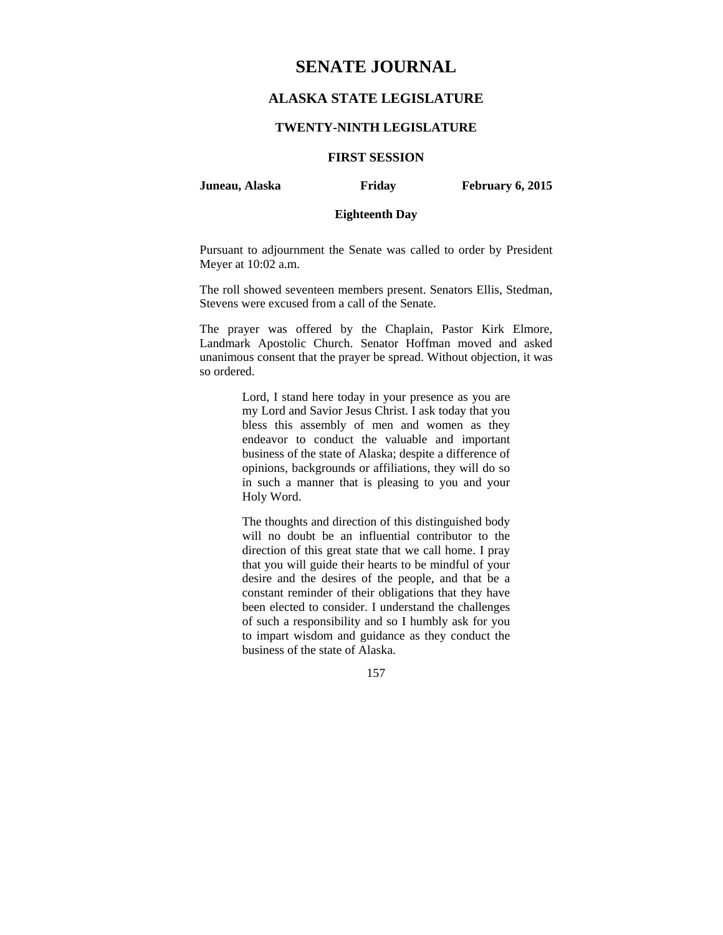# **SENATE JOURNAL**

# **ALASKA STATE LEGISLATURE**

#### **TWENTY-NINTH LEGISLATURE**

# **FIRST SESSION**

**Juneau, Alaska Friday February 6, 2015** 

# **Eighteenth Day**

Pursuant to adjournment the Senate was called to order by President Meyer at 10:02 a.m.

The roll showed seventeen members present. Senators Ellis, Stedman, Stevens were excused from a call of the Senate.

The prayer was offered by the Chaplain, Pastor Kirk Elmore, Landmark Apostolic Church. Senator Hoffman moved and asked unanimous consent that the prayer be spread. Without objection, it was so ordered.

> Lord, I stand here today in your presence as you are my Lord and Savior Jesus Christ. I ask today that you bless this assembly of men and women as they endeavor to conduct the valuable and important business of the state of Alaska; despite a difference of opinions, backgrounds or affiliations, they will do so in such a manner that is pleasing to you and your Holy Word.

> The thoughts and direction of this distinguished body will no doubt be an influential contributor to the direction of this great state that we call home. I pray that you will guide their hearts to be mindful of your desire and the desires of the people, and that be a constant reminder of their obligations that they have been elected to consider. I understand the challenges of such a responsibility and so I humbly ask for you to impart wisdom and guidance as they conduct the business of the state of Alaska.

> > 157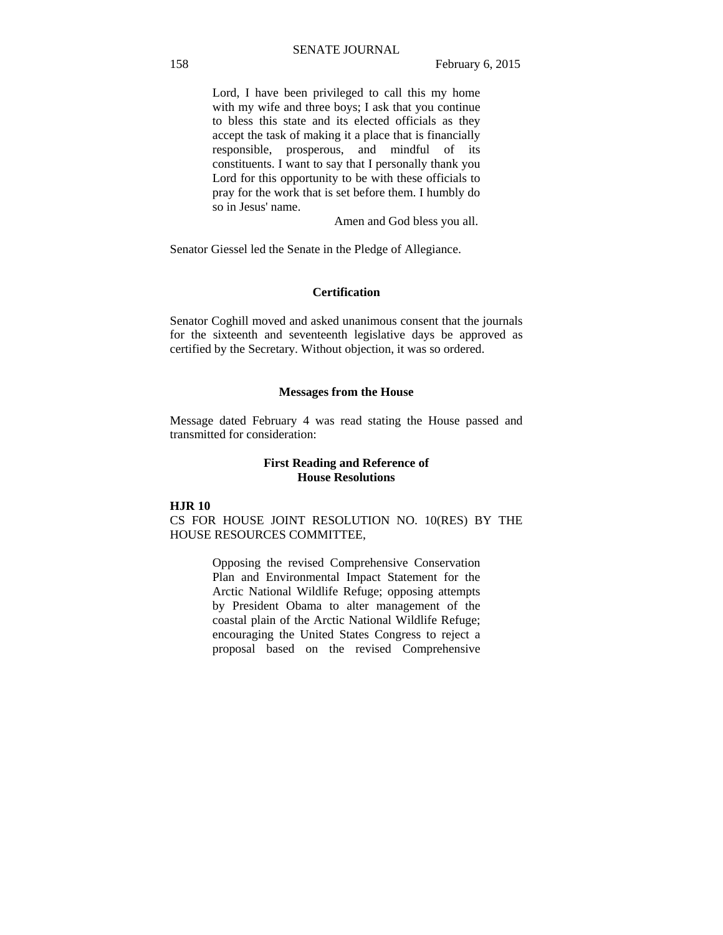Lord, I have been privileged to call this my home with my wife and three boys; I ask that you continue to bless this state and its elected officials as they accept the task of making it a place that is financially responsible, prosperous, and mindful of its constituents. I want to say that I personally thank you Lord for this opportunity to be with these officials to pray for the work that is set before them. I humbly do so in Jesus' name.

Amen and God bless you all.

Senator Giessel led the Senate in the Pledge of Allegiance.

## **Certification**

Senator Coghill moved and asked unanimous consent that the journals for the sixteenth and seventeenth legislative days be approved as certified by the Secretary. Without objection, it was so ordered.

#### **Messages from the House**

Message dated February 4 was read stating the House passed and transmitted for consideration:

### **First Reading and Reference of House Resolutions**

## **HJR 10**

CS FOR HOUSE JOINT RESOLUTION NO. 10(RES) BY THE HOUSE RESOURCES COMMITTEE,

> Opposing the revised Comprehensive Conservation Plan and Environmental Impact Statement for the Arctic National Wildlife Refuge; opposing attempts by President Obama to alter management of the coastal plain of the Arctic National Wildlife Refuge; encouraging the United States Congress to reject a proposal based on the revised Comprehensive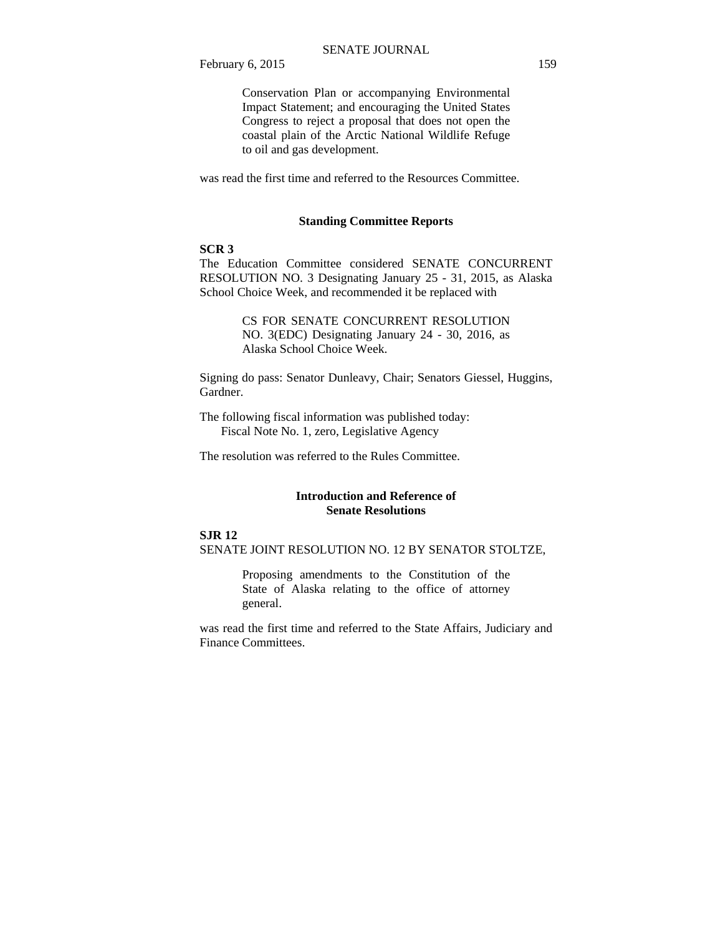Conservation Plan or accompanying Environmental Impact Statement; and encouraging the United States Congress to reject a proposal that does not open the coastal plain of the Arctic National Wildlife Refuge to oil and gas development.

was read the first time and referred to the Resources Committee.

### **Standing Committee Reports**

#### **SCR 3**

The Education Committee considered SENATE CONCURRENT RESOLUTION NO. 3 Designating January 25 - 31, 2015, as Alaska School Choice Week, and recommended it be replaced with

> CS FOR SENATE CONCURRENT RESOLUTION NO. 3(EDC) Designating January 24 - 30, 2016, as Alaska School Choice Week.

Signing do pass: Senator Dunleavy, Chair; Senators Giessel, Huggins, Gardner.

The following fiscal information was published today: Fiscal Note No. 1, zero, Legislative Agency

The resolution was referred to the Rules Committee.

#### **Introduction and Reference of Senate Resolutions**

#### **SJR 12**

SENATE JOINT RESOLUTION NO. 12 BY SENATOR STOLTZE,

Proposing amendments to the Constitution of the State of Alaska relating to the office of attorney general.

was read the first time and referred to the State Affairs, Judiciary and Finance Committees.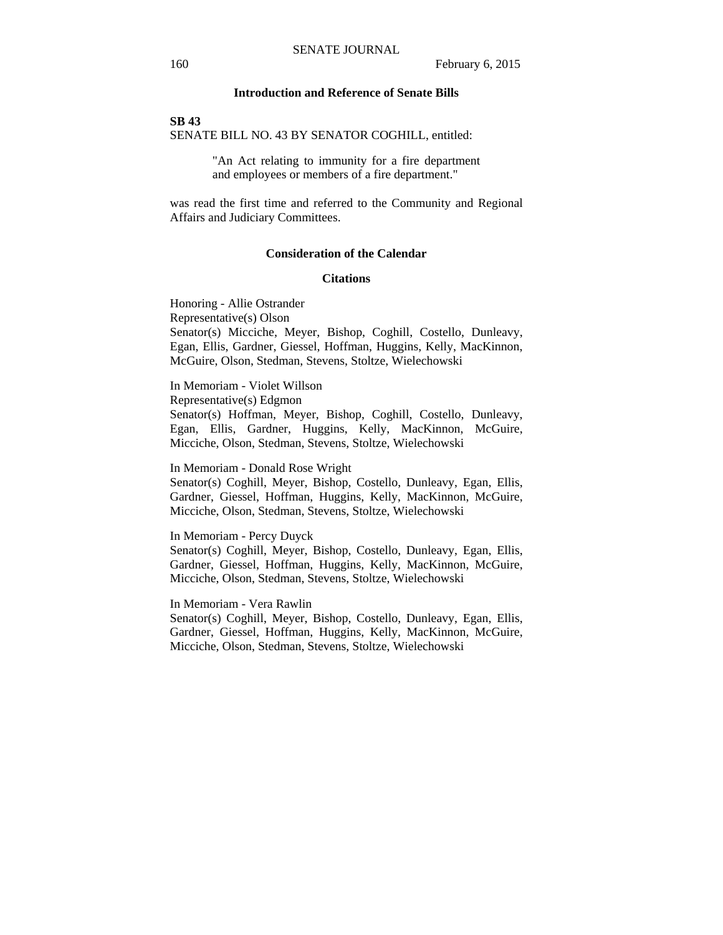### **Introduction and Reference of Senate Bills**

#### **SB 43**

SENATE BILL NO. 43 BY SENATOR COGHILL, entitled:

"An Act relating to immunity for a fire department and employees or members of a fire department."

was read the first time and referred to the Community and Regional Affairs and Judiciary Committees.

#### **Consideration of the Calendar**

#### **Citations**

Honoring - Allie Ostrander Representative(s) Olson Senator(s) Micciche, Meyer, Bishop, Coghill, Costello, Dunleavy, Egan, Ellis, Gardner, Giessel, Hoffman, Huggins, Kelly, MacKinnon, McGuire, Olson, Stedman, Stevens, Stoltze, Wielechowski

In Memoriam - Violet Willson Representative(s) Edgmon Senator(s) Hoffman, Meyer, Bishop, Coghill, Costello, Dunleavy, Egan, Ellis, Gardner, Huggins, Kelly, MacKinnon, McGuire, Micciche, Olson, Stedman, Stevens, Stoltze, Wielechowski

In Memoriam - Donald Rose Wright

Senator(s) Coghill, Meyer, Bishop, Costello, Dunleavy, Egan, Ellis, Gardner, Giessel, Hoffman, Huggins, Kelly, MacKinnon, McGuire, Micciche, Olson, Stedman, Stevens, Stoltze, Wielechowski

#### In Memoriam - Percy Duyck

Senator(s) Coghill, Meyer, Bishop, Costello, Dunleavy, Egan, Ellis, Gardner, Giessel, Hoffman, Huggins, Kelly, MacKinnon, McGuire, Micciche, Olson, Stedman, Stevens, Stoltze, Wielechowski

In Memoriam - Vera Rawlin

Senator(s) Coghill, Meyer, Bishop, Costello, Dunleavy, Egan, Ellis, Gardner, Giessel, Hoffman, Huggins, Kelly, MacKinnon, McGuire, Micciche, Olson, Stedman, Stevens, Stoltze, Wielechowski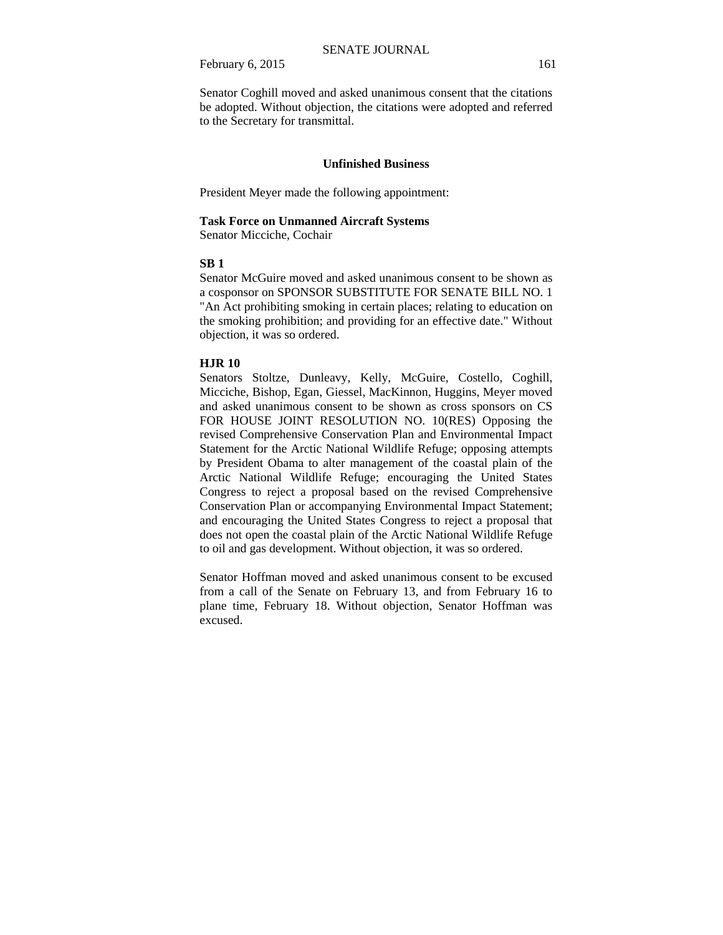February 6, 2015 161

Senator Coghill moved and asked unanimous consent that the citations be adopted. Without objection, the citations were adopted and referred to the Secretary for transmittal.

#### **Unfinished Business**

President Meyer made the following appointment:

#### **Task Force on Unmanned Aircraft Systems**

Senator Micciche, Cochair

## **SB 1**

Senator McGuire moved and asked unanimous consent to be shown as a cosponsor on SPONSOR SUBSTITUTE FOR SENATE BILL NO. 1 "An Act prohibiting smoking in certain places; relating to education on the smoking prohibition; and providing for an effective date." Without objection, it was so ordered.

## **HJR 10**

Senators Stoltze, Dunleavy, Kelly, McGuire, Costello, Coghill, Micciche, Bishop, Egan, Giessel, MacKinnon, Huggins, Meyer moved and asked unanimous consent to be shown as cross sponsors on CS FOR HOUSE JOINT RESOLUTION NO. 10(RES) Opposing the revised Comprehensive Conservation Plan and Environmental Impact Statement for the Arctic National Wildlife Refuge; opposing attempts by President Obama to alter management of the coastal plain of the Arctic National Wildlife Refuge; encouraging the United States Congress to reject a proposal based on the revised Comprehensive Conservation Plan or accompanying Environmental Impact Statement; and encouraging the United States Congress to reject a proposal that does not open the coastal plain of the Arctic National Wildlife Refuge to oil and gas development. Without objection, it was so ordered.

Senator Hoffman moved and asked unanimous consent to be excused from a call of the Senate on February 13, and from February 16 to plane time, February 18. Without objection, Senator Hoffman was excused.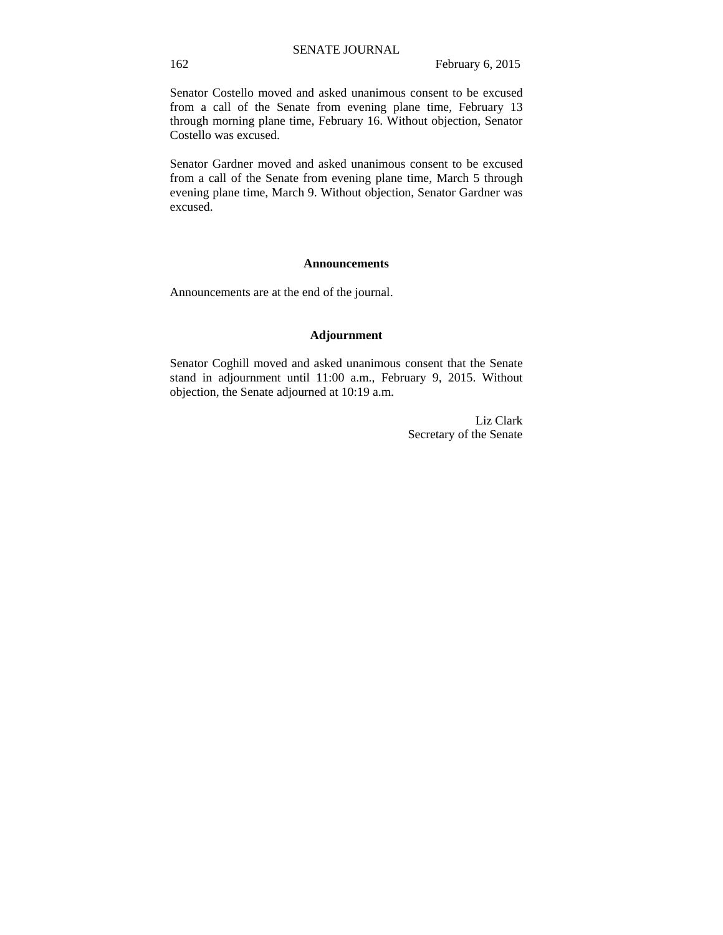Senator Costello moved and asked unanimous consent to be excused from a call of the Senate from evening plane time, February 13 through morning plane time, February 16. Without objection, Senator Costello was excused.

Senator Gardner moved and asked unanimous consent to be excused from a call of the Senate from evening plane time, March 5 through evening plane time, March 9. Without objection, Senator Gardner was excused.

#### **Announcements**

Announcements are at the end of the journal.

## **Adjournment**

Senator Coghill moved and asked unanimous consent that the Senate stand in adjournment until 11:00 a.m., February 9, 2015. Without objection, the Senate adjourned at 10:19 a.m.

> Liz Clark Secretary of the Senate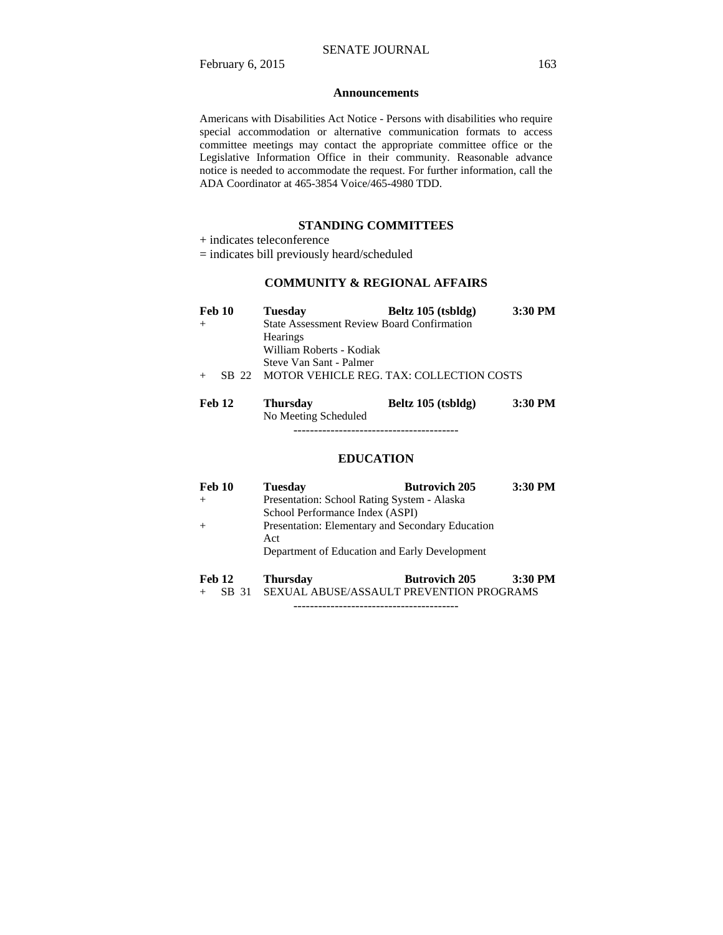#### **Announcements**

Americans with Disabilities Act Notice - Persons with disabilities who require special accommodation or alternative communication formats to access committee meetings may contact the appropriate committee office or the Legislative Information Office in their community. Reasonable advance notice is needed to accommodate the request. For further information, call the ADA Coordinator at 465-3854 Voice/465-4980 TDD.

### **STANDING COMMITTEES**

- + indicates teleconference
- = indicates bill previously heard/scheduled

## **COMMUNITY & REGIONAL AFFAIRS**

| <b>Feb 10</b> |       | <b>Tuesday</b>           | Beltz 105 (tsbldg)                                | $3:30$ PM |
|---------------|-------|--------------------------|---------------------------------------------------|-----------|
| $+$           |       |                          | <b>State Assessment Review Board Confirmation</b> |           |
|               |       | <b>Hearings</b>          |                                                   |           |
|               |       | William Roberts - Kodiak |                                                   |           |
|               |       | Steve Van Sant - Palmer  |                                                   |           |
| $+$           | SB 22 |                          | MOTOR VEHICLE REG. TAX: COLLECTION COSTS          |           |

| Feb 12 | Thursday             | Beltz 105 (tsbldg) | 3:30 PM |
|--------|----------------------|--------------------|---------|
|        | No Meeting Scheduled |                    |         |

----------------------------------------

#### **EDUCATION**

| Feb 10 | <b>Tuesday</b>                                | <b>Butrovich 205</b>                             | 3:30 PM |
|--------|-----------------------------------------------|--------------------------------------------------|---------|
| $+$    | Presentation: School Rating System - Alaska   |                                                  |         |
|        | School Performance Index (ASPI)               |                                                  |         |
| $+$    |                                               | Presentation: Elementary and Secondary Education |         |
|        | Act                                           |                                                  |         |
|        | Department of Education and Early Development |                                                  |         |
| Feb 12 | Thursdav                                      | <b>Butrovich 205</b>                             | 3:30 PM |

<sup>+</sup> SB 31 SEXUAL ABUSE/ASSAULT PREVENTION PROGRAMS

----------------------------------------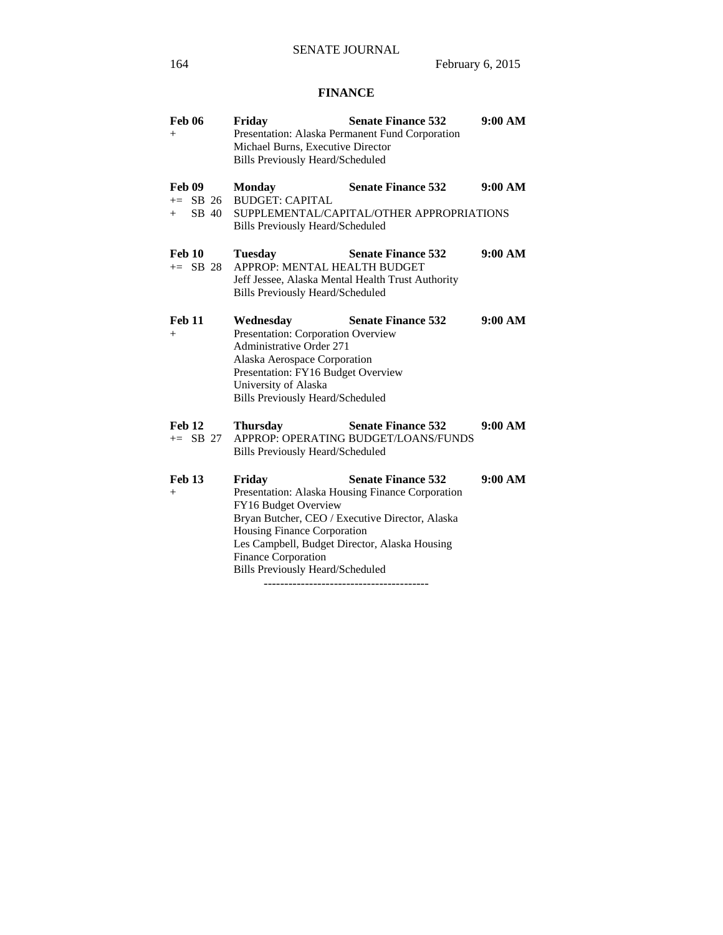# **FINANCE**

| <b>Feb 06</b><br>$^{+}$                     | Friday<br>Michael Burns, Executive Director<br><b>Bills Previously Heard/Scheduled</b>                                                                                                                               | <b>Senate Finance 532</b><br>Presentation: Alaska Permanent Fund Corporation                                                     | 9:00 AM |
|---------------------------------------------|----------------------------------------------------------------------------------------------------------------------------------------------------------------------------------------------------------------------|----------------------------------------------------------------------------------------------------------------------------------|---------|
| <b>Feb 09</b><br>$+=$ SB 26<br>SB 40<br>$+$ | <b>Monday</b><br><b>BUDGET: CAPITAL</b><br><b>Bills Previously Heard/Scheduled</b>                                                                                                                                   | <b>Senate Finance 532</b><br>SUPPLEMENTAL/CAPITAL/OTHER APPROPRIATIONS                                                           | 9:00 AM |
| <b>Feb 10</b><br>$+=$ SB 28                 | <b>Tuesday</b><br>APPROP: MENTAL HEALTH BUDGET<br>Bills Previously Heard/Scheduled                                                                                                                                   | <b>Senate Finance 532</b><br>Jeff Jessee, Alaska Mental Health Trust Authority                                                   | 9:00 AM |
| <b>Feb 11</b><br>$^{+}$                     | Wednesday<br>Presentation: Corporation Overview<br>Administrative Order 271<br>Alaska Aerospace Corporation<br>Presentation: FY16 Budget Overview<br>University of Alaska<br><b>Bills Previously Heard/Scheduled</b> | <b>Senate Finance 532</b>                                                                                                        | 9:00 AM |
| <b>Feb 12</b><br>$+=$ SB 27                 | <b>Thursday</b><br><b>Bills Previously Heard/Scheduled</b>                                                                                                                                                           | <b>Senate Finance 532</b><br>APPROP: OPERATING BUDGET/LOANS/FUNDS                                                                | 9:00 AM |
| <b>Feb 13</b><br>$^{+}$                     | Friday<br>FY16 Budget Overview<br>Housing Finance Corporation<br>Les Campbell, Budget Director, Alaska Housing<br>Finance Corporation<br><b>Bills Previously Heard/Scheduled</b>                                     | <b>Senate Finance 532</b><br>Presentation: Alaska Housing Finance Corporation<br>Bryan Butcher, CEO / Executive Director, Alaska | 9:00 AM |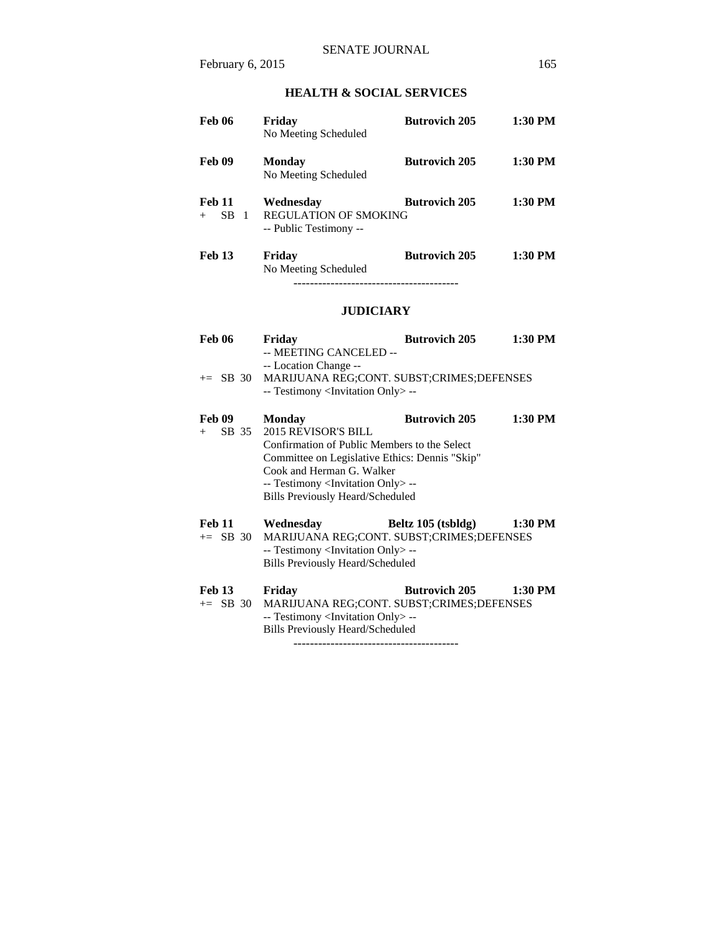# **HEALTH & SOCIAL SERVICES**

| <b>Feb 06</b>                        | Fridav<br>No Meeting Scheduled                               | <b>Butrovich 205</b> | $1:30$ PM |
|--------------------------------------|--------------------------------------------------------------|----------------------|-----------|
| Feb 09                               | Monday<br>No Meeting Scheduled                               | <b>Butrovich 205</b> | 1:30 PM   |
| <b>Feb 11</b><br><b>SB</b><br>$^{+}$ | Wednesday<br>REGULATION OF SMOKING<br>-- Public Testimony -- | <b>Butrovich 205</b> | $1:30$ PM |
| <b>Feb 13</b>                        | Friday<br>No Meeting Scheduled                               | <b>Butrovich 205</b> | $1:30$ PM |

----------------------------------------

# **JUDICIARY**

| <b>Feb 06</b>               | Friday<br>-- MEETING CANCELED --                                                                                                                                                                                                                                     | <b>Butrovich 205</b> | 1:30 PM   |
|-----------------------------|----------------------------------------------------------------------------------------------------------------------------------------------------------------------------------------------------------------------------------------------------------------------|----------------------|-----------|
| $\pm$ SB 30                 | -- Location Change --<br>MARIJUANA REG;CONT. SUBST;CRIMES;DEFENSES<br>-- Testimony <invitation only=""> --</invitation>                                                                                                                                              |                      |           |
| Feb 09<br>SB 35<br>$+$      | <b>Monday</b><br>2015 REVISOR'S BILL<br>Confirmation of Public Members to the Select<br>Committee on Legislative Ethics: Dennis "Skip"<br>Cook and Herman G. Walker<br>-- Testimony <invitation only=""> --<br/><b>Bills Previously Heard/Scheduled</b></invitation> | <b>Butrovich 205</b> | 1:30 PM   |
| <b>Feb 11</b><br>$+=$ SB 30 | Wednesday<br>MARIJUANA REG;CONT. SUBST;CRIMES;DEFENSES<br>-- Testimony <invitation only=""> --<br/><b>Bills Previously Heard/Scheduled</b></invitation>                                                                                                              | Beltz 105 (tsbldg)   | 1:30 PM   |
| <b>Feb 13</b><br>$+=$ SB 30 | Friday<br>MARIJUANA REG;CONT. SUBST;CRIMES;DEFENSES<br>-- Testimony <invitation only=""> --<br/>Bills Previously Heard/Scheduled</invitation>                                                                                                                        | <b>Butrovich 205</b> | $1:30$ PM |

----------------------------------------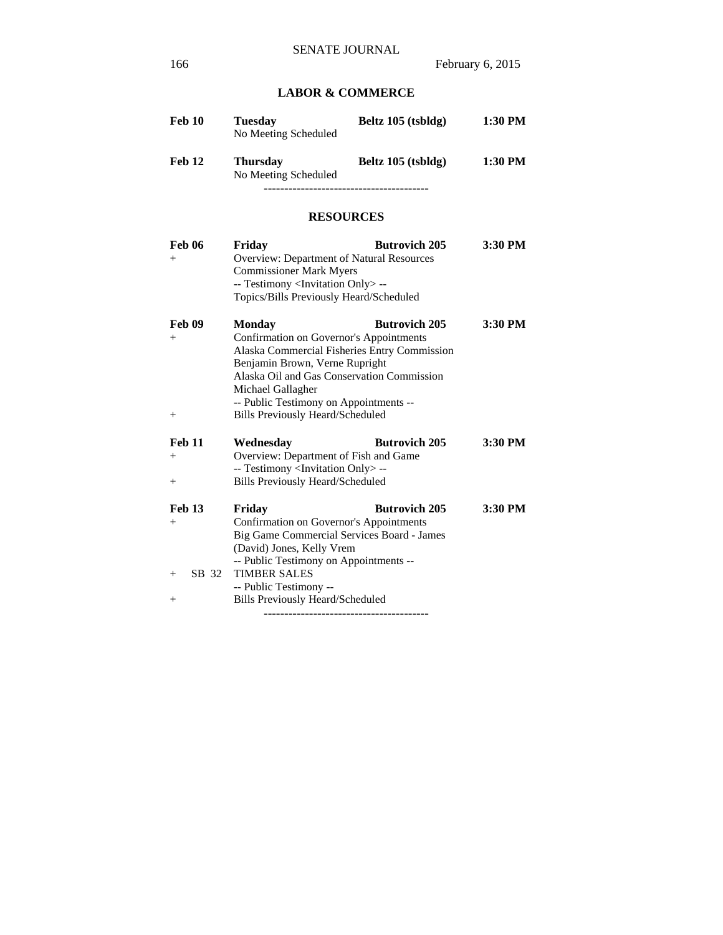# **LABOR & COMMERCE**

| Feb 10 | Tuesdav<br>No Meeting Scheduled         | Beltz 105 (tsbldg) | 1:30 PM |
|--------|-----------------------------------------|--------------------|---------|
| Feb 12 | <b>Thursday</b><br>No Meeting Scheduled | Beltz 105 (tsbldg) | 1:30 PM |
|        |                                         |                    |         |

# **RESOURCES**

| <b>Feb 06</b><br>$^{+}$                       | Friday<br>Overview: Department of Natural Resources<br><b>Commissioner Mark Myers</b><br>-- Testimony <invitation only=""> --<br/>Topics/Bills Previously Heard/Scheduled</invitation>                                                                                                             | <b>Butrovich 205</b> | 3:30 PM |
|-----------------------------------------------|----------------------------------------------------------------------------------------------------------------------------------------------------------------------------------------------------------------------------------------------------------------------------------------------------|----------------------|---------|
| <b>Feb 09</b><br>$^{+}$<br>$+$                | <b>Monday</b><br>Confirmation on Governor's Appointments<br>Alaska Commercial Fisheries Entry Commission<br>Benjamin Brown, Verne Rupright<br>Alaska Oil and Gas Conservation Commission<br>Michael Gallagher<br>-- Public Testimony on Appointments --<br><b>Bills Previously Heard/Scheduled</b> | <b>Butrovich 205</b> | 3:30 PM |
| <b>Feb 11</b><br>$\hspace{0.1mm} +$<br>$^{+}$ | Wednesday<br>Overview: Department of Fish and Game<br>-- Testimony <invitation only=""> --<br/><b>Bills Previously Heard/Scheduled</b></invitation>                                                                                                                                                | <b>Butrovich 205</b> | 3:30 PM |
| Feb 13<br>$^{+}$<br>SB 32<br>$+$<br>$^{+}$    | Friday<br>Confirmation on Governor's Appointments<br>Big Game Commercial Services Board - James<br>(David) Jones, Kelly Vrem<br>-- Public Testimony on Appointments --<br><b>TIMBER SALES</b><br>-- Public Testimony --<br><b>Bills Previously Heard/Scheduled</b>                                 | <b>Butrovich 205</b> | 3:30 PM |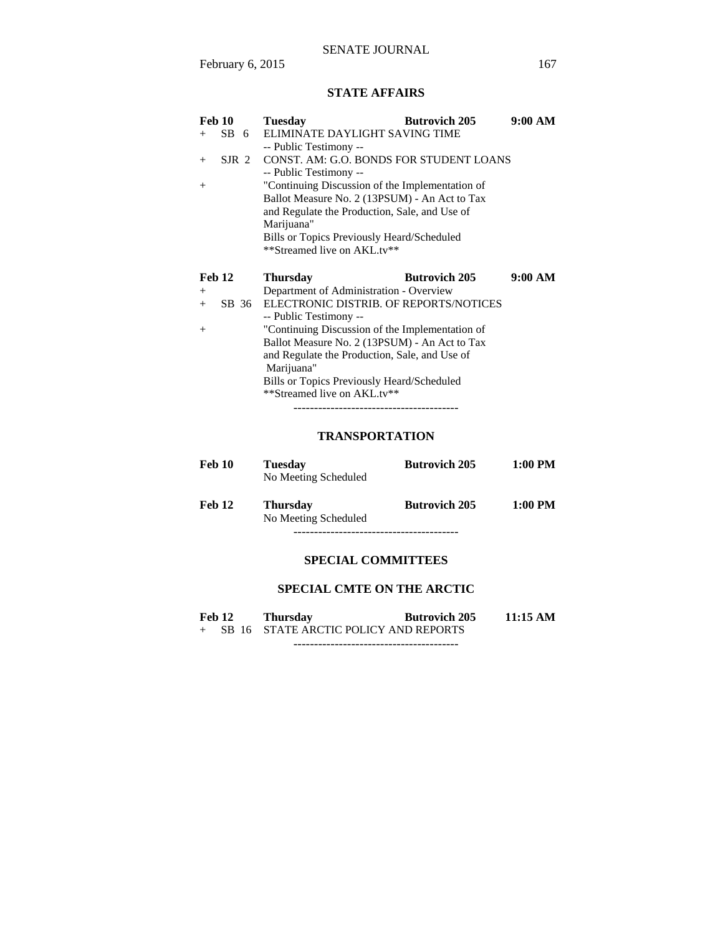# **STATE AFFAIRS**

| <b>Feb 10</b>           | <b>Tuesday</b>                                  | <b>Butrovich 205</b> | 9:00 AM |  |
|-------------------------|-------------------------------------------------|----------------------|---------|--|
| SB 6<br>$^{+}$          | ELIMINATE DAYLIGHT SAVING TIME                  |                      |         |  |
|                         | -- Public Testimony --                          |                      |         |  |
| SIR <sub>2</sub><br>$+$ | CONST. AM: G.O. BONDS FOR STUDENT LOANS         |                      |         |  |
|                         | -- Public Testimony --                          |                      |         |  |
| $^{+}$                  | "Continuing Discussion of the Implementation of |                      |         |  |
|                         | Ballot Measure No. 2 (13PSUM) - An Act to Tax   |                      |         |  |
|                         | and Regulate the Production, Sale, and Use of   |                      |         |  |
|                         | Marijuana"                                      |                      |         |  |
|                         | Bills or Topics Previously Heard/Scheduled      |                      |         |  |
|                         | **Streamed live on AKL.tv**                     |                      |         |  |
|                         |                                                 |                      |         |  |
|                         |                                                 |                      |         |  |
| <b>Feb 12</b>           | <b>Thursday</b>                                 | <b>Butrovich 205</b> | 9:00 AM |  |
| $^{+}$                  | Department of Administration - Overview         |                      |         |  |
| SB 36<br>$+$            | ELECTRONIC DISTRIB. OF REPORTS/NOTICES          |                      |         |  |
|                         | -- Public Testimony --                          |                      |         |  |
| $^{+}$                  | "Continuing Discussion of the Implementation of |                      |         |  |
|                         | Ballot Measure No. 2 (13PSUM) - An Act to Tax   |                      |         |  |
|                         | and Regulate the Production, Sale, and Use of   |                      |         |  |
|                         | Marijuana"                                      |                      |         |  |
|                         | Bills or Topics Previously Heard/Scheduled      |                      |         |  |
|                         | **Streamed live on AKL.tv**                     |                      |         |  |

# **TRANSPORTATION**

| <b>Feb 10</b> | Tuesdav<br>No Meeting Scheduled         | <b>Butrovich 205</b> | $1:00$ PM |
|---------------|-----------------------------------------|----------------------|-----------|
| <b>Feb 12</b> | <b>Thursday</b><br>No Meeting Scheduled | <b>Butrovich 205</b> | $1:00$ PM |
|               |                                         |                      |           |

# **SPECIAL COMMITTEES**

# **SPECIAL CMTE ON THE ARCTIC**

| <b>Feb 12</b> | <b>Thursday</b>                         | <b>Butrovich 205</b> | 11:15 AM |
|---------------|-----------------------------------------|----------------------|----------|
|               | + SB 16 STATE ARCTIC POLICY AND REPORTS |                      |          |
|               |                                         |                      |          |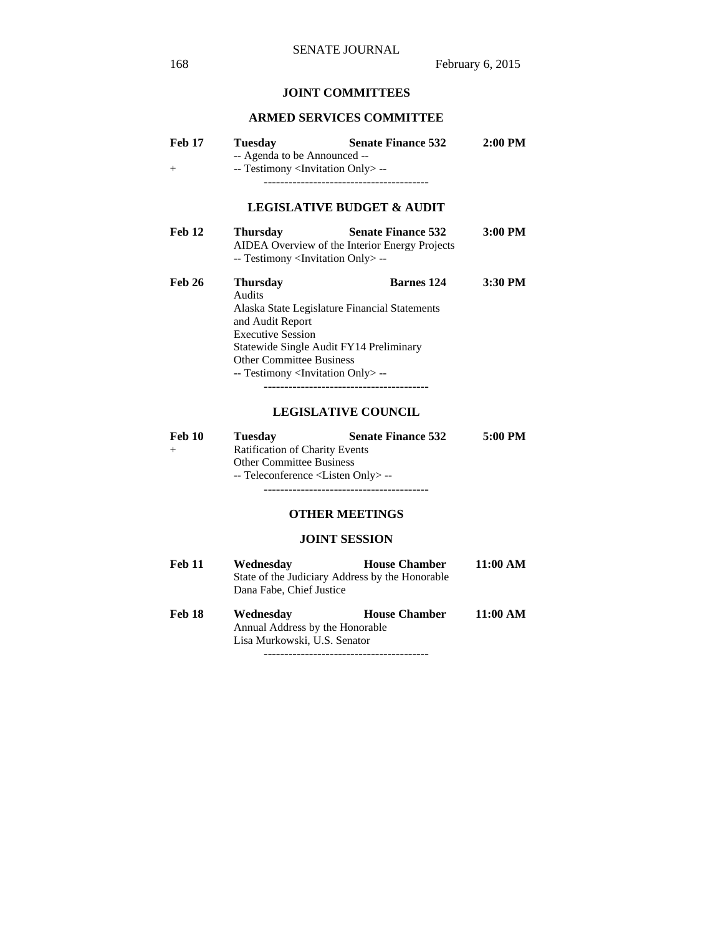# **JOINT COMMITTEES**

## **ARMED SERVICES COMMITTEE**

| Feb 17<br>$^{+}$ | <b>Tuesday</b><br>-- Agenda to be Announced --<br>-- Testimony <invitation only=""> --</invitation> | <b>Senate Finance 532</b>                                                   | $2:00$ PM |
|------------------|-----------------------------------------------------------------------------------------------------|-----------------------------------------------------------------------------|-----------|
|                  |                                                                                                     | <b>LEGISLATIVE BUDGET &amp; AUDIT</b>                                       |           |
| Feb 12           | <b>Thursday</b><br>-- Testimony <invitation only=""> --</invitation>                                | <b>Senate Finance 532</b><br>AIDEA Overview of the Interior Energy Projects | 3:00 PM   |
| Feb 26           | <b>Thursday</b><br>Audits<br>and Audit Report<br><b>Executive Session</b>                           | <b>Barnes</b> 124<br>Alaska State Legislature Financial Statements          | 3:30 PM   |

 Other Committee Business -- Testimony <Invitation Only> -- ----------------------------------------

Statewide Single Audit FY14 Preliminary

#### **LEGISLATIVE COUNCIL**

| Feb 10                          | <b>Tuesday</b>                                | <b>Senate Finance 532</b> | 5:00 PM |  |  |  |
|---------------------------------|-----------------------------------------------|---------------------------|---------|--|--|--|
| $^{+}$                          | <b>Ratification of Charity Events</b>         |                           |         |  |  |  |
| <b>Other Committee Business</b> |                                               |                           |         |  |  |  |
|                                 | -- Teleconference <listen only="">--</listen> |                           |         |  |  |  |
|                                 |                                               |                           |         |  |  |  |

# **OTHER MEETINGS**

# **JOINT SESSION**

| Feb 11 | Wednesday                                       | <b>House Chamber</b> | 11:00 AM           |
|--------|-------------------------------------------------|----------------------|--------------------|
|        | State of the Judiciary Address by the Honorable |                      |                    |
|        | Dana Fabe, Chief Justice                        |                      |                    |
| Feb 18 | Wednesday                                       | <b>House Chamber</b> | $11:00 \text{ AM}$ |
|        | Annual Address by the Honorable                 |                      |                    |
|        | Lisa Murkowski, U.S. Senator                    |                      |                    |

----------------------------------------